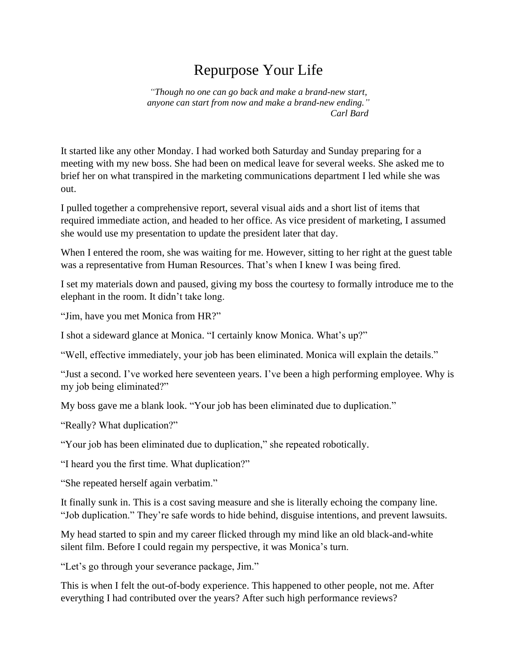## Repurpose Your Life

*"Though no one can go back and make a brand-new start, anyone can start from now and make a brand-new ending." Carl Bard*

It started like any other Monday. I had worked both Saturday and Sunday preparing for a meeting with my new boss. She had been on medical leave for several weeks. She asked me to brief her on what transpired in the marketing communications department I led while she was out.

I pulled together a comprehensive report, several visual aids and a short list of items that required immediate action, and headed to her office. As vice president of marketing, I assumed she would use my presentation to update the president later that day.

When I entered the room, she was waiting for me. However, sitting to her right at the guest table was a representative from Human Resources. That's when I knew I was being fired.

I set my materials down and paused, giving my boss the courtesy to formally introduce me to the elephant in the room. It didn't take long.

"Jim, have you met Monica from HR?"

I shot a sideward glance at Monica. "I certainly know Monica. What's up?"

"Well, effective immediately, your job has been eliminated. Monica will explain the details."

"Just a second. I've worked here seventeen years. I've been a high performing employee. Why is my job being eliminated?"

My boss gave me a blank look. "Your job has been eliminated due to duplication."

"Really? What duplication?"

"Your job has been eliminated due to duplication," she repeated robotically.

"I heard you the first time. What duplication?"

"She repeated herself again verbatim."

It finally sunk in. This is a cost saving measure and she is literally echoing the company line. "Job duplication." They're safe words to hide behind, disguise intentions, and prevent lawsuits.

My head started to spin and my career flicked through my mind like an old black-and-white silent film. Before I could regain my perspective, it was Monica's turn.

"Let's go through your severance package, Jim."

This is when I felt the out-of-body experience. This happened to other people, not me. After everything I had contributed over the years? After such high performance reviews?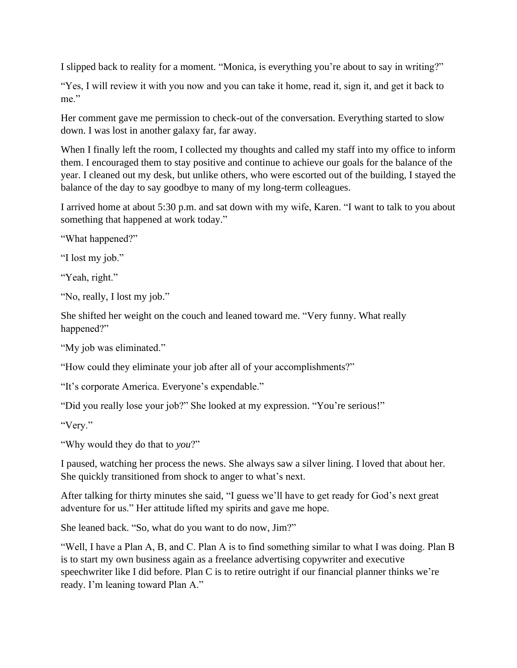I slipped back to reality for a moment. "Monica, is everything you're about to say in writing?"

"Yes, I will review it with you now and you can take it home, read it, sign it, and get it back to me."

Her comment gave me permission to check-out of the conversation. Everything started to slow down. I was lost in another galaxy far, far away.

When I finally left the room, I collected my thoughts and called my staff into my office to inform them. I encouraged them to stay positive and continue to achieve our goals for the balance of the year. I cleaned out my desk, but unlike others, who were escorted out of the building, I stayed the balance of the day to say goodbye to many of my long-term colleagues.

I arrived home at about 5:30 p.m. and sat down with my wife, Karen. "I want to talk to you about something that happened at work today."

"What happened?"

"I lost my job."

"Yeah, right."

"No, really, I lost my job."

She shifted her weight on the couch and leaned toward me. "Very funny. What really happened?"

"My job was eliminated."

"How could they eliminate your job after all of your accomplishments?"

"It's corporate America. Everyone's expendable."

"Did you really lose your job?" She looked at my expression. "You're serious!"

"Very."

"Why would they do that to *you*?"

I paused, watching her process the news. She always saw a silver lining. I loved that about her. She quickly transitioned from shock to anger to what's next.

After talking for thirty minutes she said, "I guess we'll have to get ready for God's next great adventure for us." Her attitude lifted my spirits and gave me hope.

She leaned back. "So, what do you want to do now, Jim?"

"Well, I have a Plan A, B, and C. Plan A is to find something similar to what I was doing. Plan B is to start my own business again as a freelance advertising copywriter and executive speechwriter like I did before. Plan C is to retire outright if our financial planner thinks we're ready. I'm leaning toward Plan A."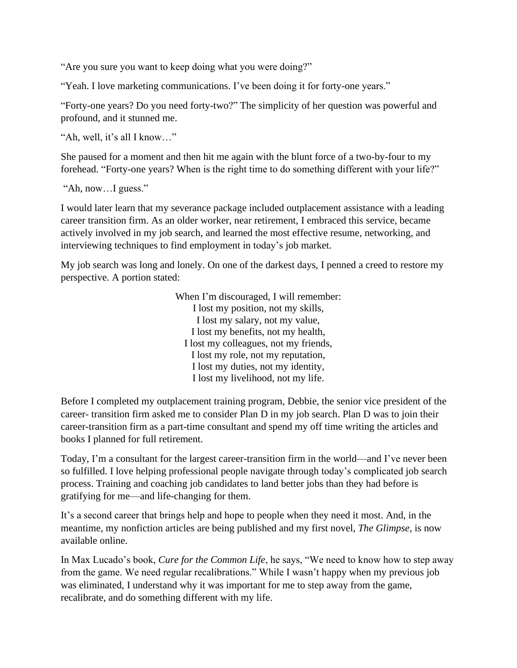"Are you sure you want to keep doing what you were doing?"

"Yeah. I love marketing communications. I've been doing it for forty-one years."

"Forty-one years? Do you need forty-two?" The simplicity of her question was powerful and profound, and it stunned me.

"Ah, well, it's all I know…"

She paused for a moment and then hit me again with the blunt force of a two-by-four to my forehead. "Forty-one years? When is the right time to do something different with your life?"

"Ah, now…I guess."

I would later learn that my severance package included outplacement assistance with a leading career transition firm. As an older worker, near retirement, I embraced this service, became actively involved in my job search, and learned the most effective resume, networking, and interviewing techniques to find employment in today's job market.

My job search was long and lonely. On one of the darkest days, I penned a creed to restore my perspective. A portion stated:

> When I'm discouraged, I will remember: I lost my position, not my skills, I lost my salary, not my value, I lost my benefits, not my health, I lost my colleagues, not my friends, I lost my role, not my reputation, I lost my duties, not my identity, I lost my livelihood, not my life.

Before I completed my outplacement training program, Debbie, the senior vice president of the career- transition firm asked me to consider Plan D in my job search. Plan D was to join their career-transition firm as a part-time consultant and spend my off time writing the articles and books I planned for full retirement.

Today, I'm a consultant for the largest career-transition firm in the world—and I've never been so fulfilled. I love helping professional people navigate through today's complicated job search process. Training and coaching job candidates to land better jobs than they had before is gratifying for me—and life-changing for them.

It's a second career that brings help and hope to people when they need it most. And, in the meantime, my nonfiction articles are being published and my first novel, *The Glimpse*, is now available online.

In Max Lucado's book, *Cure for the Common Life*, he says, "We need to know how to step away from the game. We need regular recalibrations." While I wasn't happy when my previous job was eliminated, I understand why it was important for me to step away from the game, recalibrate, and do something different with my life.